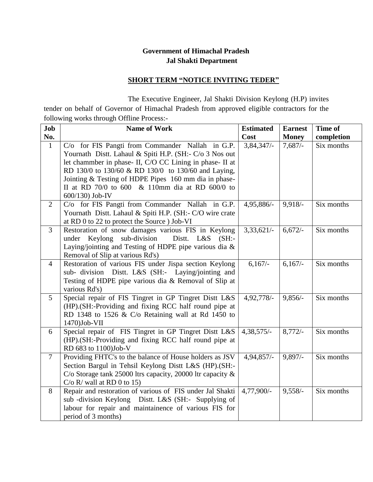## **Government of Himachal Pradesh Jal Shakti Department**

## **SHORT TERM "NOTICE INVITING TEDER"**

 The Executive Engineer, Jal Shakti Division Keylong (H.P) invites tender on behalf of Governor of Himachal Pradesh from approved eligible contractors for the following works through Offline Process:-

| Job<br>No.     | <b>Name of Work</b>                                                                                                    | <b>Estimated</b><br>Cost | <b>Earnest</b><br><b>Money</b> | Time of<br>completion |
|----------------|------------------------------------------------------------------------------------------------------------------------|--------------------------|--------------------------------|-----------------------|
| $\mathbf{1}$   | C/o for FIS Pangti from Commander Nallah in G.P.                                                                       | $3,84,347/-$             | 7,687/                         | Six months            |
|                | Yournath Distt. Lahaul & Spiti H.P. (SH:- C/o 3 Nos out                                                                |                          |                                |                       |
|                | let chammber in phase- II, C/O CC Lining in phase- II at                                                               |                          |                                |                       |
|                | RD 130/0 to 130/60 & RD 130/0 to 130/60 and Laying,                                                                    |                          |                                |                       |
|                | Jointing & Testing of HDPE Pipes 160 mm dia in phase-                                                                  |                          |                                |                       |
|                | II at RD 70/0 to 600 & 110mm dia at RD 600/0 to                                                                        |                          |                                |                       |
|                | 600/130) Job-IV                                                                                                        |                          |                                |                       |
| 2              | C/o for FIS Pangti from Commander Nallah in G.P.                                                                       | 4,95,886/-               | $9,918/-$                      | Six months            |
|                | Yournath Distt. Lahaul & Spiti H.P. (SH:- C/O wire crate                                                               |                          |                                |                       |
|                | at RD 0 to 22 to protect the Source ) Job-VI                                                                           |                          |                                |                       |
| 3              | Restoration of snow damages various FIS in Keylong                                                                     | 3,33,621/                | $6,672/-$                      | Six months            |
|                | under Keylong sub-division<br>Distt. L&S (SH:-                                                                         |                          |                                |                       |
|                | Laying/jointing and Testing of HDPE pipe various dia &                                                                 |                          |                                |                       |
|                | Removal of Slip at various Rd's)                                                                                       |                          |                                |                       |
| $\overline{4}$ | Restoration of various FIS under Jispa section Keylong                                                                 | $6,167/-$                | 6,167/                         | Six months            |
|                | sub- division Distt. L&S (SH:- Laying/jointing and                                                                     |                          |                                |                       |
|                | Testing of HDPE pipe various dia & Removal of Slip at                                                                  |                          |                                |                       |
|                | various Rd's)                                                                                                          |                          |                                |                       |
| 5              | Special repair of FIS Tingret in GP Tingret Distt L&S                                                                  | 4,92,778/-               | $9,856/-$                      | Six months            |
|                | (HP).(SH:-Providing and fixing RCC half round pipe at                                                                  |                          |                                |                       |
|                | RD 1348 to 1526 $&$ C/o Retaining wall at Rd 1450 to                                                                   |                          |                                |                       |
|                | 1470)Job-VII                                                                                                           |                          |                                |                       |
| 6              | Special repair of FIS Tingret in GP Tingret Distt L&S                                                                  | 4,38,575/-               | $8,772/-$                      | Six months            |
|                | (HP).(SH:-Providing and fixing RCC half round pipe at                                                                  |                          |                                |                       |
|                | RD 683 to 1100)Job-V                                                                                                   |                          |                                |                       |
| $\tau$         | Providing FHTC's to the balance of House holders as JSV                                                                | 4,94,857/-               | $9,897/-$                      | Six months            |
|                | Section Bargul in Tehsil Keylong Distt L&S (HP).(SH:-<br>C/o Storage tank 25000 ltrs capacity, 20000 ltr capacity $\&$ |                          |                                |                       |
|                | $C/O$ R/ wall at RD 0 to 15)                                                                                           |                          |                                |                       |
| 8              | Repair and restoration of various of FIS under Jal Shakti                                                              | 4,77,900/-               | $9,558/-$                      | Six months            |
|                | sub -division Keylong Distt. L&S (SH:- Supplying of                                                                    |                          |                                |                       |
|                | labour for repair and maintainence of various FIS for                                                                  |                          |                                |                       |
|                | period of 3 months)                                                                                                    |                          |                                |                       |